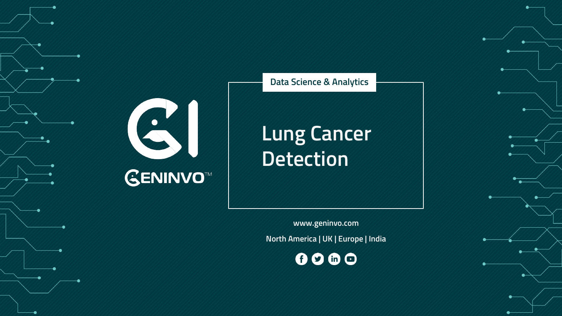#### **Data Science & Analytics**

# **Lung Cancer Detection**

**GENINVO™** 

**www.geninvo.com North America | UK | Europe | India**

0000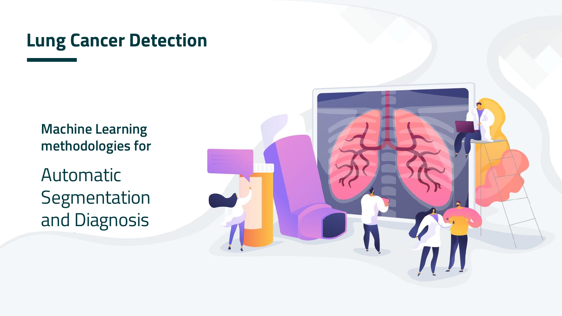## **Lung Cancer Detection**

**Machine Learning methodologies for**

Automatic Segmentation and Diagnosis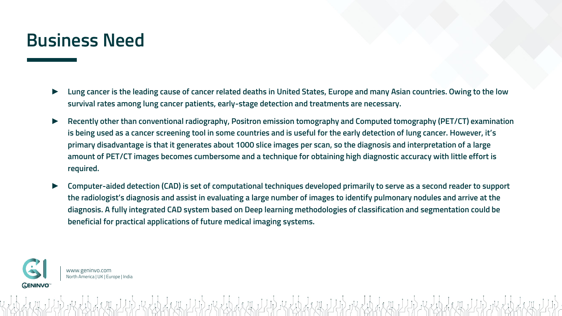#### **Business Need**

- ► **Lung cancer is the leading cause of cancer related deaths in United States, Europe and many Asian countries. Owing to the low survival rates among lung cancer patients, early-stage detection and treatments are necessary.**
- ► **Recently other than conventional radiography, Positron emission tomography and Computed tomography (PET/CT) examination is being used as a cancer screening tool in some countries and is useful for the early detection of lung cancer. However, it's primary disadvantage is that it generates about 1000 slice images per scan, so the diagnosis and interpretation of a large amount of PET/CT images becomes cumbersome and a technique for obtaining high diagnostic accuracy with little effort is required.**
- ► **Computer-aided detection (CAD) is set of computational techniques developed primarily to serve as a second reader to support the radiologist's diagnosis and assist in evaluating a large number of images to identify pulmonary nodules and arrive at the diagnosis. A fully integrated CAD system based on Deep learning methodologies of classification and segmentation could be beneficial for practical applications of future medical imaging systems.**

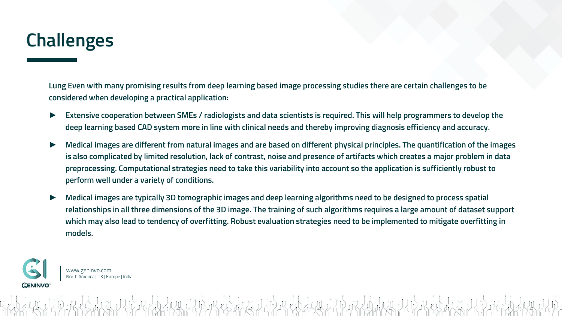## **Challenges**

**Lung Even with many promising results from deep learning based image processing studies there are certain challenges to be considered when developing a practical application:**

- ► **Extensive cooperation between SMEs / radiologists and data scientists is required. This will help programmers to develop the deep learning based CAD system more in line with clinical needs and thereby improving diagnosis efficiency and accuracy.**
- ► **Medical images are different from natural images and are based on different physical principles. The quantification of the images is also complicated by limited resolution, lack of contrast, noise and presence of artifacts which creates a major problem in data preprocessing. Computational strategies need to take this variability into account so the application is sufficiently robust to perform well under a variety of conditions.**
- ► **Medical images are typically 3D tomographic images and deep learning algorithms need to be designed to process spatial relationships in all three dimensions of the 3D image. The training of such algorithms requires a large amount of dataset support which may also lead to tendency of overfitting. Robust evaluation strategies need to be implemented to mitigate overfitting in models.**

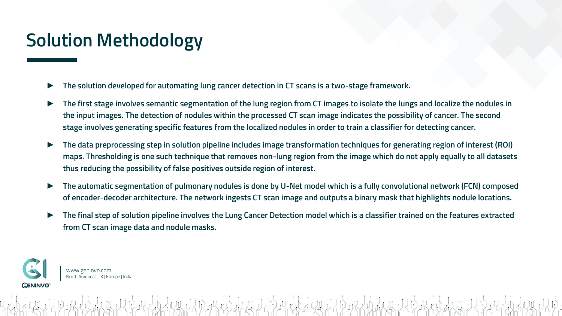## **Solution Methodology**

- The solution developed for automating lung cancer detection in CT scans is a two-stage framework.
- ► **The first stage involves semantic segmentation of the lung region from CT images to isolate the lungs and localize the nodules in the input images. The detection of nodules within the processed CT scan image indicates the possibility of cancer. The second stage involves generating specific features from the localized nodules in order to train a classifier for detecting cancer.**
- ► **The data preprocessing step in solution pipeline includes image transformation techniques for generating region of interest (ROI) maps. Thresholding is one such technique that removes non-lung region from the image which do not apply equally to all datasets thus reducing the possibility of false positives outside region of interest.**
- ► **The automatic segmentation of pulmonary nodules is done by U-Net model which is a fully convolutional network (FCN) composed of encoder-decoder architecture. The network ingests CT scan image and outputs a binary mask that highlights nodule locations.**
- ► **The final step of solution pipeline involves the Lung Cancer Detection model which is a classifier trained on the features extracted from CT scan image data and nodule masks.**

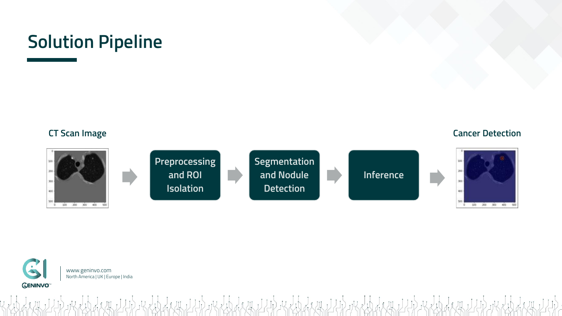



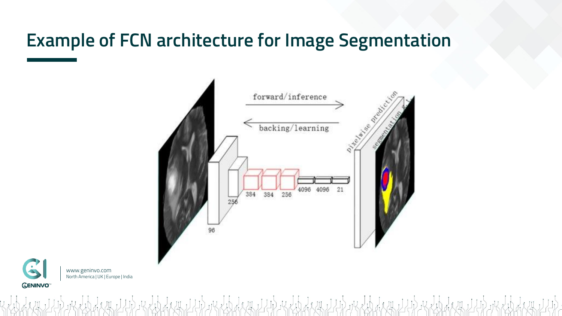## **Example of FCN architecture for Image Segmentation**

KEN LILLO KEN HILLO AND HELLO AND



www.geninvo.com North America | UK | Europe | India **GENINVO**<sup>™</sup>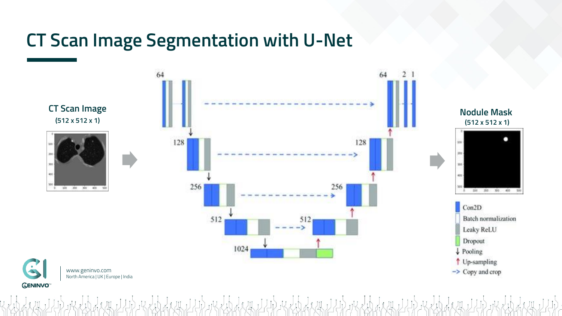#### **CT Scan Image Segmentation with U-Net**



**Nodule Mask (512 x 512 x 1)**

100 200 300 400

**Batch** normalization

Leaky ReLU

Dropout

Con2D

о



400 500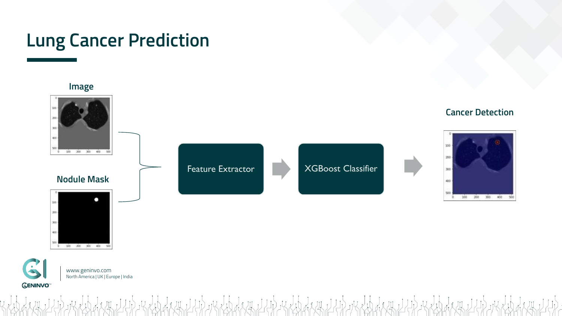## **Lung Cancer Prediction**



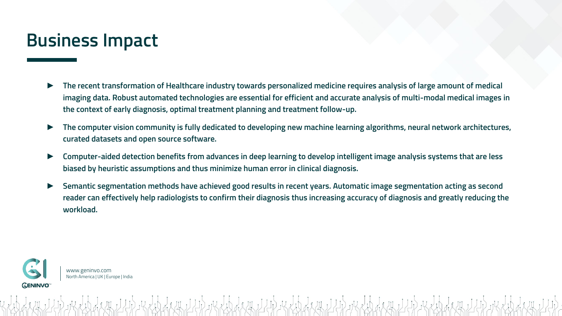#### **Business Impact**

- ► **The recent transformation of Healthcare industry towards personalized medicine requires analysis of large amount of medical imaging data. Robust automated technologies are essential for efficient and accurate analysis of multi-modal medical images in the context of early diagnosis, optimal treatment planning and treatment follow-up.**
- ► **The computer vision community is fully dedicated to developing new machine learning algorithms, neural network architectures, curated datasets and open source software.**
- ► **Computer-aided detection benefits from advances in deep learning to develop intelligent image analysis systems that are less biased by heuristic assumptions and thus minimize human error in clinical diagnosis.**
- ► **Semantic segmentation methods have achieved good results in recent years. Automatic image segmentation acting as second reader can effectively help radiologists to confirm their diagnosis thus increasing accuracy of diagnosis and greatly reducing the workload.**